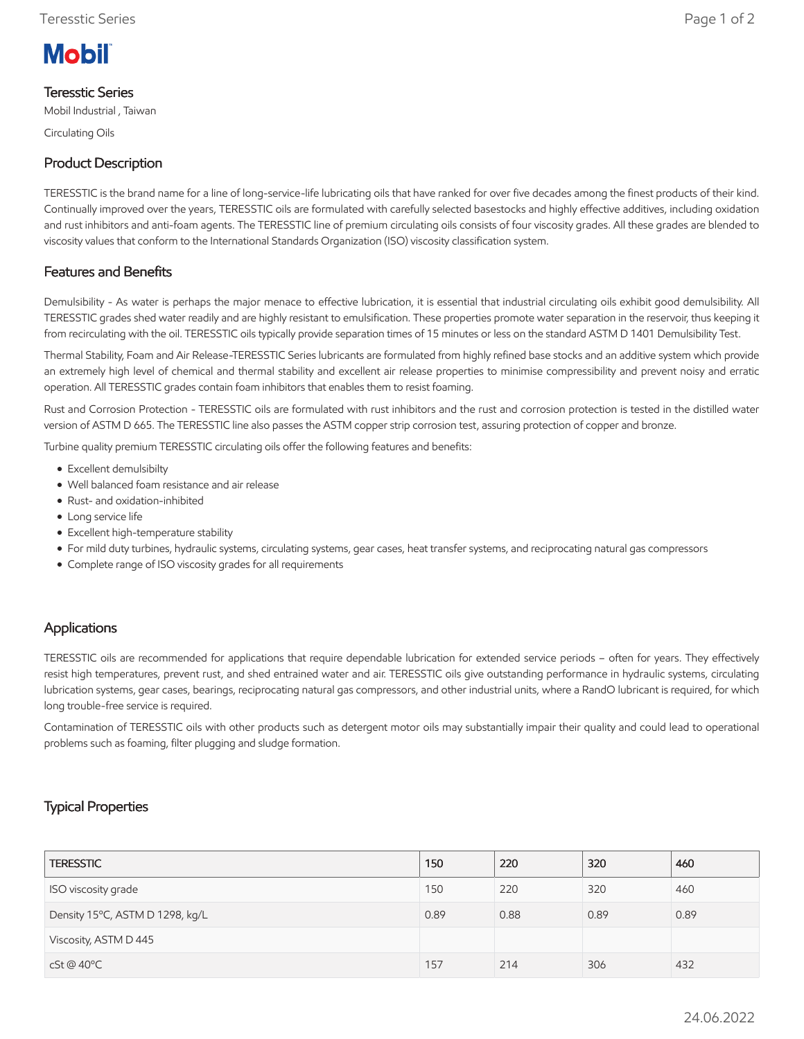

## Teresstic Series

Mobil Industrial , Taiwan

Circulating Oils

# Product Description

TERESSTIC is the brand name for a line of long-service-life lubricating oils that have ranked for over five decades among the finest products of their kind. Continually improved over the years, TERESSTIC oils are formulated with carefully selected basestocks and highly effective additives, including oxidation and rust inhibitors and anti-foam agents. The TERESSTIC line of premium circulating oils consists of four viscosity grades. All these grades are blended to viscosity values that conform to the International Standards Organization (ISO) viscosity classification system.

## Features and Benefits

Demulsibility - As water is perhaps the major menace to effective lubrication, it is essential that industrial circulating oils exhibit good demulsibility. All TERESSTIC grades shed water readily and are highly resistant to emulsification. These properties promote water separation in the reservoir, thus keeping it from recirculating with the oil. TERESSTIC oils typically provide separation times of 15 minutes or less on the standard ASTM D 1401 Demulsibility Test.

Thermal Stability, Foam and Air Release-TERESSTIC Series lubricants are formulated from highly refined base stocks and an additive system which provide an extremely high level of chemical and thermal stability and excellent air release properties to minimise compressibility and prevent noisy and erratic operation. All TERESSTIC grades contain foam inhibitors that enables them to resist foaming.

Rust and Corrosion Protection - TERESSTIC oils are formulated with rust inhibitors and the rust and corrosion protection is tested in the distilled water version of ASTM D 665. The TERESSTIC line also passes the ASTM copper strip corrosion test, assuring protection of copper and bronze.

Turbine quality premium TERESSTIC circulating oils offer the following features and benefits:

- Excellent demulsibilty
- Well balanced foam resistance and air release
- Rust- and oxidation-inhibited
- Long service life
- Excellent high-temperature stability
- For mild duty turbines, hydraulic systems, circulating systems, gear cases, heat transfer systems, and reciprocating natural gas compressors
- Complete range of ISO viscosity grades for all requirements

### Applications

TERESSTIC oils are recommended for applications that require dependable lubrication for extended service periods – often for years. They effectively resist high temperatures, prevent rust, and shed entrained water and air. TERESSTIC oils give outstanding performance in hydraulic systems, circulating lubrication systems, gear cases, bearings, reciprocating natural gas compressors, and other industrial units, where a RandO lubricant is required, for which long trouble-free service is required.

Contamination of TERESSTIC oils with other products such as detergent motor oils may substantially impair their quality and could lead to operational problems such as foaming, filter plugging and sludge formation.

## Typical Properties

| <b>TERESSTIC</b>                | 150  | 220  | 320  | 460  |
|---------------------------------|------|------|------|------|
| ISO viscosity grade             | 150  | 220  | 320  | 460  |
| Density 15°C, ASTM D 1298, kg/L | 0.89 | 0.88 | 0.89 | 0.89 |
| Viscosity, ASTM D 445           |      |      |      |      |
| cSt@40°C                        | 157  | 214  | 306  | 432  |